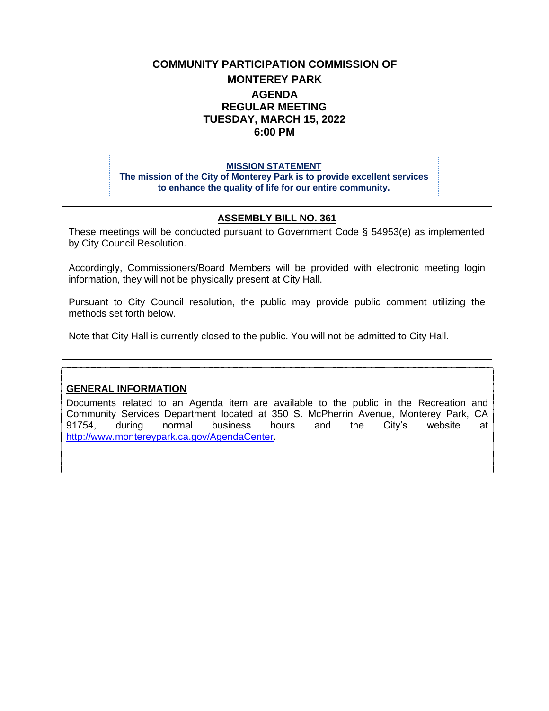# **COMMUNITY PARTICIPATION COMMISSION OF MONTEREY PARK AGENDA REGULAR MEETING TUESDAY, MARCH 15, 2022 6:00 PM**

#### **MISSION STATEMENT**

**The mission of the City of Monterey Park is to provide excellent services to enhance the quality of life for our entire community.**

#### **ASSEMBLY BILL NO. 361**

These meetings will be conducted pursuant to Government Code § 54953(e) as implemented by City Council Resolution.

Accordingly, Commissioners/Board Members will be provided with electronic meeting login information, they will not be physically present at City Hall.

Pursuant to City Council resolution, the public may provide public comment utilizing the methods set forth below.

Note that City Hall is currently closed to the public. You will not be admitted to City Hall.

#### **GENERAL INFORMATION**

Documents related to an Agenda item are available to the public in the Recreation and Community Services Department located at 350 S. McPherrin Avenue, Monterey Park, CA 91754, during normal business hours and the City's website at [http://www.montereypark.ca.gov/AgendaCenter.](http://www.montereypark.ca.gov/AgendaCenter)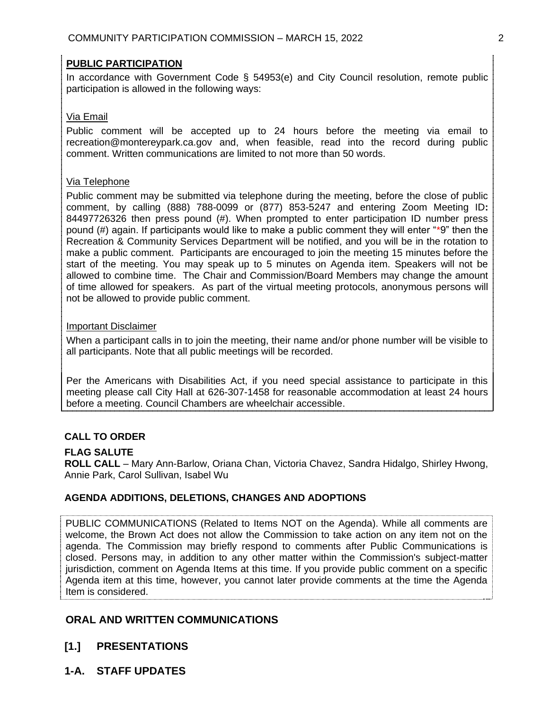## **PUBLIC PARTICIPATION**

In accordance with Government Code § 54953(e) and City Council resolution, remote public participation is allowed in the following ways:

#### Via Email

Public comment will be accepted up to 24 hours before the meeting via email to recreation@montereypark.ca.gov and, when feasible, read into the record during public comment. Written communications are limited to not more than 50 words.

### Via Telephone

Public comment may be submitted via telephone during the meeting, before the close of public comment, by calling (888) 788-0099 or (877) 853-5247 and entering Zoom Meeting ID**:**  84497726326 then press pound (#). When prompted to enter participation ID number press pound (#) again. If participants would like to make a public comment they will enter "\*9" then the Recreation & Community Services Department will be notified, and you will be in the rotation to make a public comment. Participants are encouraged to join the meeting 15 minutes before the start of the meeting. You may speak up to 5 minutes on Agenda item. Speakers will not be allowed to combine time. The Chair and Commission/Board Members may change the amount of time allowed for speakers. As part of the virtual meeting protocols, anonymous persons will not be allowed to provide public comment.

#### Important Disclaimer

When a participant calls in to join the meeting, their name and/or phone number will be visible to all participants. Note that all public meetings will be recorded.

Per the Americans with Disabilities Act, if you need special assistance to participate in this meeting please call City Hall at 626-307-1458 for reasonable accommodation at least 24 hours before a meeting. Council Chambers are wheelchair accessible.

## **CALL TO ORDER**

#### **FLAG SALUTE**

**ROLL CALL** – Mary Ann-Barlow, Oriana Chan, Victoria Chavez, Sandra Hidalgo, Shirley Hwong, Annie Park, Carol Sullivan, Isabel Wu

#### **AGENDA ADDITIONS, DELETIONS, CHANGES AND ADOPTIONS**

PUBLIC COMMUNICATIONS (Related to Items NOT on the Agenda). While all comments are welcome, the Brown Act does not allow the Commission to take action on any item not on the agenda. The Commission may briefly respond to comments after Public Communications is closed. Persons may, in addition to any other matter within the Commission's subject-matter jurisdiction, comment on Agenda Items at this time. If you provide public comment on a specific Agenda item at this time, however, you cannot later provide comments at the time the Agenda Item is considered.

# **ORAL AND WRITTEN COMMUNICATIONS**

- **[1.] PRESENTATIONS**
- **1-A. STAFF UPDATES**